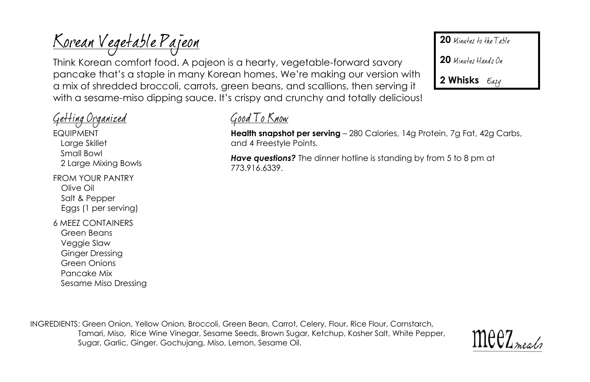Think Korean comfort food. A pajeon is a hearty, vegetable-forward savory pancake that's a staple in many Korean homes. We're making our version with a mix of shredded broccoli, carrots, green beans, and scallions, then serving it with a sesame-miso dipping sauce. It's crispy and crunchy and totally delicious!

<u>Getting Organized</u>

EQUIPMENT Large Skillet Small Bowl 2 Large Mixing Bowls

<u>Korean Vegetable Pajeon</u>

FROM YOUR PANTRY Olive Oil Salt & Pepper Eggs (1 per serving)

6 MEEZ CONTAINERS Green Beans Veggie Slaw Ginger Dressing Green Onions Pancake Mix Sesame Miso Dressing Good To Know

**Health snapshot per serving** – 280 Calories, 14g Protein, 7g Fat, 42g Carbs, and 4 Freestyle Points.

**Have questions?** The dinner hotline is standing by from 5 to 8 pm at 773.916.6339.

INGREDIENTS: Green Onion, Yellow Onion, Broccoli, Green Bean, Carrot, Celery, Flour, Rice Flour, Cornstarch, Tamari, Miso, Rice Wine Vinegar, Sesame Seeds, Brown Sugar, Ketchup, Kosher Salt, White Pepper, Sugar, Garlic, Ginger, Gochujang, Miso, Lemon, Sesame Oil.



20 Minutes to the Table

20 Minutes Hands On

**2 Whisks**